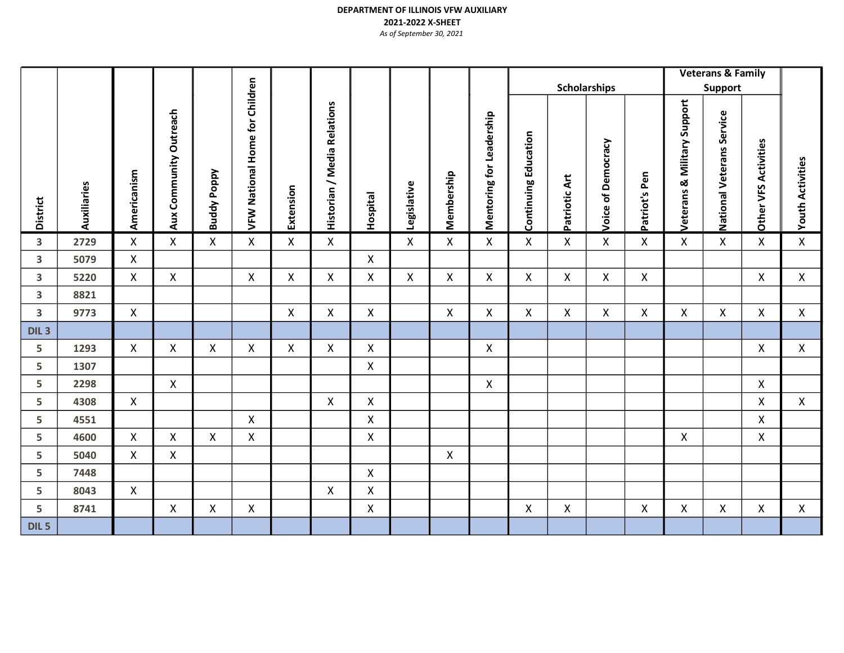|                         |             |              |                        |                    |                                       |              |                             |                           |                           |              |                          |                             |               |                           |                    |                                | <b>Veterans &amp; Family</b>        |                             |                           |
|-------------------------|-------------|--------------|------------------------|--------------------|---------------------------------------|--------------|-----------------------------|---------------------------|---------------------------|--------------|--------------------------|-----------------------------|---------------|---------------------------|--------------------|--------------------------------|-------------------------------------|-----------------------------|---------------------------|
|                         |             |              |                        |                    |                                       |              |                             |                           |                           |              |                          |                             |               | <b>Scholarships</b>       |                    |                                | <b>Support</b>                      |                             |                           |
| <b>District</b>         | Auxiliaries | Americanism  | Aux Community Outreach | <b>Buddy Poppy</b> | <b>VFW National Home for Children</b> | Extension    | Historian / Media Relations | Hospital                  | Legislative               | Membership   | Mentoring for Leadership | <b>Continuing Education</b> | Patriotic Art | <b>Voice of Democracy</b> | Patriot's Pen      | & Military Support<br>Veterans | Service<br><b>National Veterans</b> | <b>Other VFS Activities</b> | <b>Youth Activities</b>   |
| 3                       | 2729        | X            | X                      | X                  | $\mathsf{X}$                          | X            | X                           |                           | $\boldsymbol{\mathsf{X}}$ | $\mathsf{X}$ | X                        | X                           | X             | X                         | $\pmb{\mathsf{X}}$ | $\boldsymbol{\mathsf{X}}$      | X                                   | $\mathsf{X}$                | $\pmb{\mathsf{X}}$        |
| 3                       | 5079        | $\mathsf{X}$ |                        |                    |                                       |              |                             | X                         |                           |              |                          |                             |               |                           |                    |                                |                                     |                             |                           |
| $\overline{\mathbf{3}}$ | 5220        | $\mathsf{X}$ | $\mathsf{X}$           |                    | $\mathsf{X}$                          | $\mathsf{X}$ | $\mathsf{X}$                | $\boldsymbol{\mathsf{X}}$ | X                         | $\mathsf{X}$ | $\mathsf{X}$             | $\pmb{\mathsf{X}}$          | $\mathsf{X}$  | $\pmb{\mathsf{X}}$        | $\pmb{\mathsf{X}}$ |                                |                                     | $\pmb{\mathsf{X}}$          | $\boldsymbol{\mathsf{X}}$ |
| 3                       | 8821        |              |                        |                    |                                       |              |                             |                           |                           |              |                          |                             |               |                           |                    |                                |                                     |                             |                           |
| 3                       | 9773        | $\mathsf{X}$ |                        |                    |                                       | $\mathsf{X}$ | $\mathsf{X}$                | X                         |                           | $\mathsf{X}$ | $\mathsf{X}^-$           | $\mathsf{X}$                | Χ             | X                         | X                  | X                              | X                                   | $\mathsf{X}$                | X                         |
| DIL <sub>3</sub>        |             |              |                        |                    |                                       |              |                             |                           |                           |              |                          |                             |               |                           |                    |                                |                                     |                             |                           |
| 5                       | 1293        | $\mathsf{X}$ | $\mathsf{X}$           | $\pmb{\mathsf{X}}$ | $\mathsf{X}$                          | $\mathsf{X}$ | $\mathsf{X}$                | $\mathsf{X}$              |                           |              | $\mathsf{X}$             |                             |               |                           |                    |                                |                                     | $\mathsf X$                 | $\mathsf{X}$              |
| 5                       | 1307        |              |                        |                    |                                       |              |                             | X                         |                           |              |                          |                             |               |                           |                    |                                |                                     |                             |                           |
| 5                       | 2298        |              | $\mathsf{X}$           |                    |                                       |              |                             |                           |                           |              | $\mathsf{X}$             |                             |               |                           |                    |                                |                                     | $\pmb{\mathsf{X}}$          |                           |
| 5                       | 4308        | $\mathsf{X}$ |                        |                    |                                       |              | $\mathsf{X}$                | X                         |                           |              |                          |                             |               |                           |                    |                                |                                     | $\mathsf{X}$                | $\pmb{\mathsf{X}}$        |
| 5                       | 4551        |              |                        |                    | X                                     |              |                             | X                         |                           |              |                          |                             |               |                           |                    |                                |                                     | X                           |                           |
| 5                       | 4600        | $\mathsf{X}$ | $\mathsf{X}$           | X                  | $\mathsf{X}$                          |              |                             | X                         |                           |              |                          |                             |               |                           |                    | X                              |                                     | $\mathsf{X}$                |                           |
| 5                       | 5040        | X            | X                      |                    |                                       |              |                             |                           |                           | $\mathsf{X}$ |                          |                             |               |                           |                    |                                |                                     |                             |                           |
| 5                       | 7448        |              |                        |                    |                                       |              |                             | X                         |                           |              |                          |                             |               |                           |                    |                                |                                     |                             |                           |
| 5                       | 8043        | $\mathsf{X}$ |                        |                    |                                       |              | X                           | X                         |                           |              |                          |                             |               |                           |                    |                                |                                     |                             |                           |
| 5                       | 8741        |              | $\mathsf{X}$           | $\pmb{\mathsf{X}}$ | $\mathsf{X}$                          |              |                             | $\mathsf{X}$              |                           |              |                          | $\mathsf{X}$                | $\mathsf{X}$  |                           | $\pmb{\times}$     | $\mathsf{X}$                   | $\mathsf{X}$                        | $\mathsf{X}$                | $\mathsf{X}$              |
| DIL <sub>5</sub>        |             |              |                        |                    |                                       |              |                             |                           |                           |              |                          |                             |               |                           |                    |                                |                                     |                             |                           |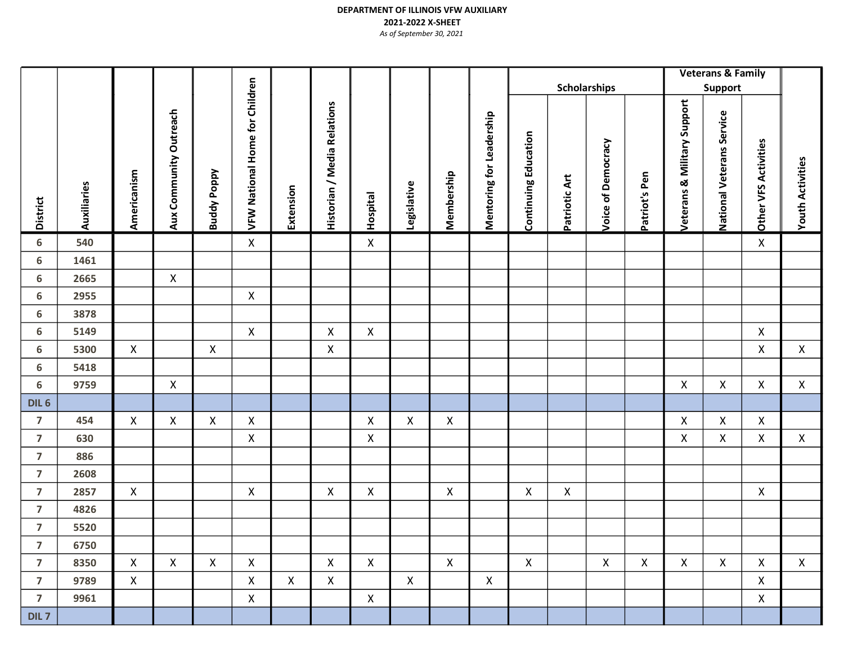|                         |              |              |                        |                    |                                       |              |                             |                    |              |              |                                 |                             |               | Scholarships       |               |                                | <b>Veterans &amp; Family</b><br>Support |                      |                         |  |
|-------------------------|--------------|--------------|------------------------|--------------------|---------------------------------------|--------------|-----------------------------|--------------------|--------------|--------------|---------------------------------|-----------------------------|---------------|--------------------|---------------|--------------------------------|-----------------------------------------|----------------------|-------------------------|--|
| <b>District</b>         | Auxiliaries  | Americanism  | Aux Community Outreach | <b>Buddy Poppy</b> | <b>VFW National Home for Children</b> | Extension    | Historian / Media Relations | Hospital           | Legislative  | Membership   | <b>Mentoring for Leadership</b> | <b>Continuing Education</b> | Patriotic Art | Voice of Democracy | Patriot's Pen | & Military Support<br>Veterans | National Veterans Service               | Other VFS Activities | <b>Youth Activities</b> |  |
| 6                       | 540          |              |                        |                    | $\mathsf{X}$                          |              |                             | $\pmb{\mathsf{X}}$ |              |              |                                 |                             |               |                    |               |                                |                                         | $\mathsf X$          |                         |  |
| 6                       | 1461         |              |                        |                    |                                       |              |                             |                    |              |              |                                 |                             |               |                    |               |                                |                                         |                      |                         |  |
| 6                       | 2665         |              | X                      |                    |                                       |              |                             |                    |              |              |                                 |                             |               |                    |               |                                |                                         |                      |                         |  |
| $\boldsymbol{6}$        | 2955         |              |                        |                    | X                                     |              |                             |                    |              |              |                                 |                             |               |                    |               |                                |                                         |                      |                         |  |
| 6<br>$\boldsymbol{6}$   | 3878<br>5149 |              |                        |                    | $\mathsf{X}$                          |              | $\mathsf{X}$                | $\mathsf{X}$       |              |              |                                 |                             |               |                    |               |                                |                                         | $\mathsf{X}$         |                         |  |
| 6                       | 5300         | $\mathsf{X}$ |                        | X                  |                                       |              | X                           |                    |              |              |                                 |                             |               |                    |               |                                |                                         | $\mathsf{X}$         | X                       |  |
| 6                       | 5418         |              |                        |                    |                                       |              |                             |                    |              |              |                                 |                             |               |                    |               |                                |                                         |                      |                         |  |
| 6                       | 9759         |              | X                      |                    |                                       |              |                             |                    |              |              |                                 |                             |               |                    |               | $\pmb{\mathsf{X}}$             | X                                       | $\mathsf X$          | $\mathsf{X}$            |  |
| DIL <sub>6</sub>        |              |              |                        |                    |                                       |              |                             |                    |              |              |                                 |                             |               |                    |               |                                |                                         |                      |                         |  |
| $\overline{7}$          | 454          | X            | X                      | X                  | X                                     |              |                             | X                  | X            | $\mathsf{X}$ |                                 |                             |               |                    |               | X                              | $\mathsf{X}^-$                          | $\mathsf{X}$         |                         |  |
| $\overline{7}$          | 630          |              |                        |                    | X                                     |              |                             | X                  |              |              |                                 |                             |               |                    |               | X                              | X                                       | $\mathsf{X}$         | X                       |  |
| $\overline{\mathbf{z}}$ | 886          |              |                        |                    |                                       |              |                             |                    |              |              |                                 |                             |               |                    |               |                                |                                         |                      |                         |  |
| $\overline{\mathbf{z}}$ | 2608         |              |                        |                    |                                       |              |                             |                    |              |              |                                 |                             |               |                    |               |                                |                                         |                      |                         |  |
| $\overline{7}$          | 2857         | $\mathsf{X}$ |                        |                    | $\pmb{\mathsf{X}}$                    |              | $\mathsf{X}$                | X                  |              | $\mathsf{X}$ |                                 | X                           | X             |                    |               |                                |                                         | $\mathsf{X}$         |                         |  |
| $\overline{7}$          | 4826         |              |                        |                    |                                       |              |                             |                    |              |              |                                 |                             |               |                    |               |                                |                                         |                      |                         |  |
| 7                       | 5520         |              |                        |                    |                                       |              |                             |                    |              |              |                                 |                             |               |                    |               |                                |                                         |                      |                         |  |
| $\overline{7}$          | 6750         |              |                        |                    |                                       |              |                             |                    |              |              |                                 |                             |               |                    |               |                                |                                         |                      |                         |  |
| $\overline{7}$          | 8350         | $\mathsf{X}$ | $\mathsf{X}$           | $\mathsf{X}$       | $\mathsf{X}$                          |              | $\mathsf{X}$                | $\mathsf{X}$       |              | $\mathsf{X}$ |                                 | $\mathsf{X}$                |               | $\mathsf{X}$       | $\mathsf{X}$  | $\mathsf{X}$                   | $\mathsf{X}^-$                          | $\mathsf{X}$         | $\mathsf{X}$            |  |
| $\overline{7}$          | 9789         | $\mathsf{X}$ |                        |                    | X                                     | $\mathsf{X}$ | $\mathsf{X}$                |                    | $\mathsf{X}$ |              | $\mathsf{X}$                    |                             |               |                    |               |                                |                                         | $\mathsf{X}$         |                         |  |
| $\overline{7}$          | 9961         |              |                        |                    | $\mathsf{X}$                          |              |                             | $\mathsf{X}$       |              |              |                                 |                             |               |                    |               |                                |                                         | $\mathsf{X}^-$       |                         |  |
| DIL <sub>7</sub>        |              |              |                        |                    |                                       |              |                             |                    |              |              |                                 |                             |               |                    |               |                                |                                         |                      |                         |  |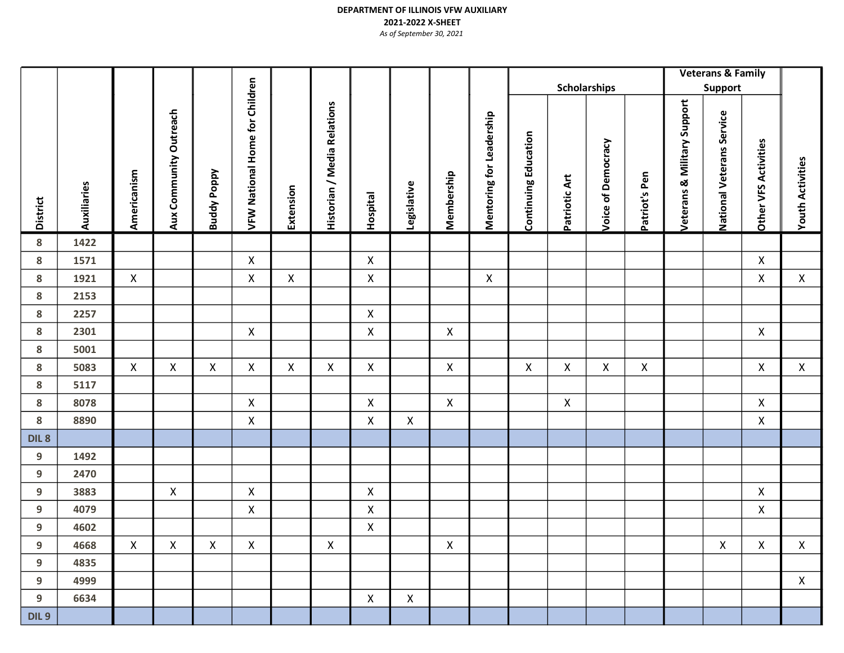District<br>Auxliaries<br>Aux Community Outreach<br>We Wational Home for Children<br>Historian / Media Relations<br>Hospital<br>Membership<br>Metaurans & Military Support<br>Metaurans & Military Support<br>Metaurans Service<br>Metaurans & Military Supp **Scholarships** Veterans & Family Support 8 1422 8 1571 X X X 8 1921 X X X X X X X 8 2153 8 2257 X 8 2301 X X X X 8 5001 8 5083 X X X X X X X X X X X X X X 8 5117 8 8078 X X X X X 8 8890 X X X X DIL 8 9 1492 9 2470 9 3883 X X X X 9 4079 X X X 9 4602 X 9 4668 X X X X X X X X X 9 4835 9 4999 X 9 6634 X X X DIL<sub>9</sub>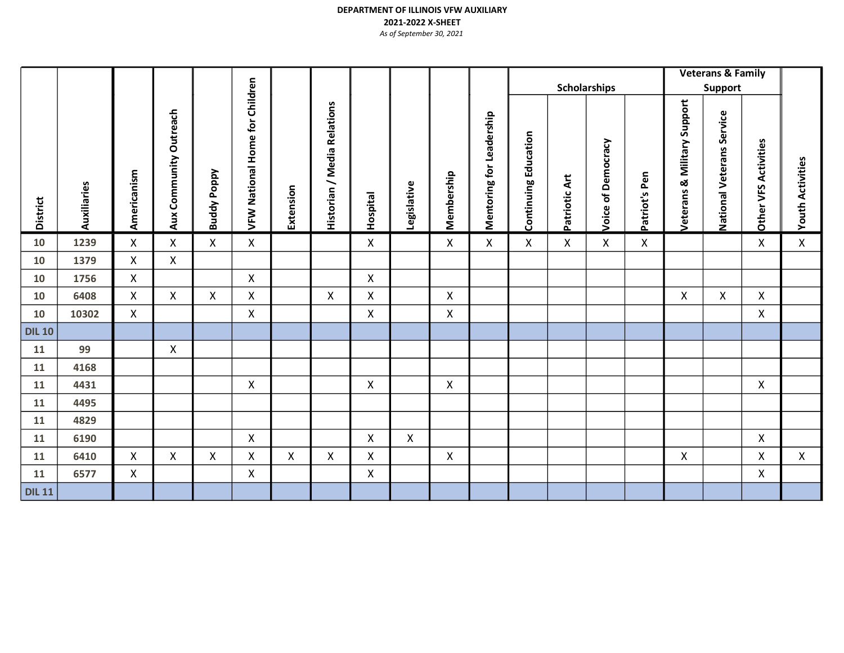|                 |             |                |                        |                    |                                          |              |                             |                    |              |                           |                          |                             |               | Scholarships          |               |                                   | <b>Veterans &amp; Family</b><br>Support |                      |                         |
|-----------------|-------------|----------------|------------------------|--------------------|------------------------------------------|--------------|-----------------------------|--------------------|--------------|---------------------------|--------------------------|-----------------------------|---------------|-----------------------|---------------|-----------------------------------|-----------------------------------------|----------------------|-------------------------|
| <b>District</b> | Auxiliaries | Americanism    | Aux Community Outreach | <b>Buddy Poppy</b> | Children<br><b>VFW National Home for</b> | Extension    | Historian / Media Relations | Hospital           | Legislative  | Membership                | Mentoring for Leadership | <b>Continuing Education</b> | Patriotic Art | Democracy<br>Voice of | Patriot's Pen | Support<br>& Military<br>Veterans | Service<br><b>National Veterans</b>     | Other VFS Activities | <b>Youth Activities</b> |
| 10              | 1239        | X              | X                      | X                  | X                                        |              |                             | X                  |              | X                         | X                        | X                           | Χ             | X                     | Χ             |                                   |                                         | $\mathsf{X}$         | Χ                       |
| 10              | 1379        | $\mathsf{X}$   | X                      |                    |                                          |              |                             |                    |              |                           |                          |                             |               |                       |               |                                   |                                         |                      |                         |
| 10              | 1756        | $\mathsf{X}$   |                        |                    | X                                        |              |                             | X                  |              |                           |                          |                             |               |                       |               |                                   |                                         |                      |                         |
| 10              | 6408        | $\mathsf{X}$   | X                      | X                  | X                                        |              | X                           | X                  |              | X                         |                          |                             |               |                       |               | $\boldsymbol{\mathsf{X}}$         | $\mathsf{X}$                            | X                    |                         |
| 10              | 10302       | $\mathsf{X}$   |                        |                    | X                                        |              |                             | X                  |              | X                         |                          |                             |               |                       |               |                                   |                                         | $\mathsf{X}$         |                         |
| <b>DIL 10</b>   |             |                |                        |                    |                                          |              |                             |                    |              |                           |                          |                             |               |                       |               |                                   |                                         |                      |                         |
| 11              | 99          |                | X                      |                    |                                          |              |                             |                    |              |                           |                          |                             |               |                       |               |                                   |                                         |                      |                         |
| 11              | 4168        |                |                        |                    |                                          |              |                             |                    |              |                           |                          |                             |               |                       |               |                                   |                                         |                      |                         |
| 11              | 4431        |                |                        |                    | X                                        |              |                             | X                  |              | X                         |                          |                             |               |                       |               |                                   |                                         | $\mathsf{X}$         |                         |
| 11              | 4495        |                |                        |                    |                                          |              |                             |                    |              |                           |                          |                             |               |                       |               |                                   |                                         |                      |                         |
| 11              | 4829        |                |                        |                    |                                          |              |                             |                    |              |                           |                          |                             |               |                       |               |                                   |                                         |                      |                         |
| 11              | 6190        |                |                        |                    | $\mathsf{X}$                             |              |                             | $\pmb{\mathsf{X}}$ | $\mathsf{X}$ |                           |                          |                             |               |                       |               |                                   |                                         | $\mathsf{X}$         |                         |
| 11              | 6410        | $\mathsf{X}$   | $\mathsf{X}$           | X                  | X                                        | $\mathsf{X}$ | $\mathsf{X}$                | X                  |              | $\boldsymbol{\mathsf{X}}$ |                          |                             |               |                       |               | $\boldsymbol{\mathsf{X}}$         |                                         | $\mathsf{X}$         | $\mathsf{X}$            |
| 11              | 6577        | $\pmb{\times}$ |                        |                    | X                                        |              |                             | X                  |              |                           |                          |                             |               |                       |               |                                   |                                         | $\mathsf{X}$         |                         |
| <b>DIL 11</b>   |             |                |                        |                    |                                          |              |                             |                    |              |                           |                          |                             |               |                       |               |                                   |                                         |                      |                         |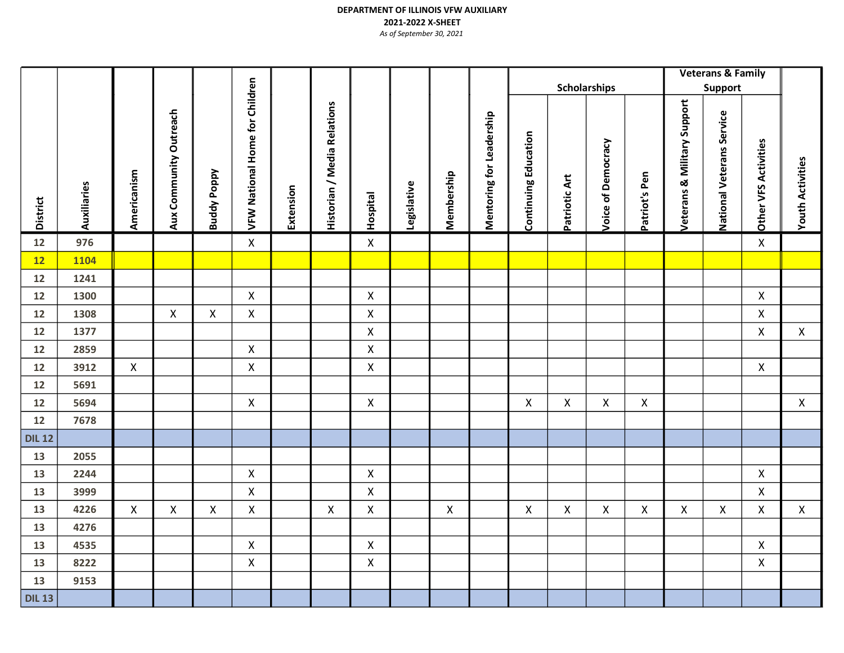|                 |              |              |                        |                    |                                       |           |                             |                         |             |                |                          |                             | Scholarships   |                           |               |                                        | Veterans & Family<br>Support |                      |                         |
|-----------------|--------------|--------------|------------------------|--------------------|---------------------------------------|-----------|-----------------------------|-------------------------|-------------|----------------|--------------------------|-----------------------------|----------------|---------------------------|---------------|----------------------------------------|------------------------------|----------------------|-------------------------|
| <b>District</b> | Auxiliaries  | Americanism  | Aux Community Outreach | <b>Buddy Poppy</b> | <b>VFW National Home for Children</b> | Extension | Historian / Media Relations | Hospital                | Legislative | Membership     | Mentoring for Leadership | <b>Continuing Education</b> | Patriotic Art  | <b>Voice of Democracy</b> | Patriot's Pen | <b>Veterans &amp; Military Support</b> | National Veterans Service    | Other VFS Activities | <b>Youth Activities</b> |
| 12              | 976          |              |                        |                    | $\pmb{\times}$                        |           |                             | $\pmb{\mathsf{X}}$      |             |                |                          |                             |                |                           |               |                                        |                              | $\mathsf{X}$         |                         |
| 12              | 1104         |              |                        |                    |                                       |           |                             |                         |             |                |                          |                             |                |                           |               |                                        |                              |                      |                         |
| 12              | 1241         |              |                        |                    |                                       |           |                             |                         |             |                |                          |                             |                |                           |               |                                        |                              |                      |                         |
| 12              | 1300         |              |                        |                    | $\mathsf{X}$                          |           |                             | $\pmb{\mathsf{X}}$      |             |                |                          |                             |                |                           |               |                                        |                              | $\mathsf X$          |                         |
| 12              | 1308         |              | $\pmb{\mathsf{X}}$     | Χ                  | $\pmb{\mathsf{X}}$                    |           |                             | $\mathsf X$             |             |                |                          |                             |                |                           |               |                                        |                              | $\mathsf X$          |                         |
| 12              | 1377         |              |                        |                    |                                       |           |                             | $\mathsf{X}$            |             |                |                          |                             |                |                           |               |                                        |                              | $\mathsf{X}$         | $\mathsf{X}$            |
| 12<br>12        | 2859<br>3912 | $\mathsf{X}$ |                        |                    | $\mathsf{X}$<br>$\mathsf{X}$          |           |                             | $\pmb{\mathsf{X}}$<br>X |             |                |                          |                             |                |                           |               |                                        |                              | $\mathsf{X}$         |                         |
| 12              | 5691         |              |                        |                    |                                       |           |                             |                         |             |                |                          |                             |                |                           |               |                                        |                              |                      |                         |
| 12              | 5694         |              |                        |                    | $\pmb{\times}$                        |           |                             | $\pmb{\mathsf{X}}$      |             |                |                          | X                           | $\mathsf X$    | X                         | X             |                                        |                              |                      | $\mathsf{X}$            |
| 12              | 7678         |              |                        |                    |                                       |           |                             |                         |             |                |                          |                             |                |                           |               |                                        |                              |                      |                         |
| <b>DIL 12</b>   |              |              |                        |                    |                                       |           |                             |                         |             |                |                          |                             |                |                           |               |                                        |                              |                      |                         |
| 13              | 2055         |              |                        |                    |                                       |           |                             |                         |             |                |                          |                             |                |                           |               |                                        |                              |                      |                         |
| 13              | 2244         |              |                        |                    | $\mathsf{X}$                          |           |                             | X                       |             |                |                          |                             |                |                           |               |                                        |                              | $\pmb{\mathsf{X}}$   |                         |
| 13              | 3999         |              |                        |                    | $\mathsf{X}$                          |           |                             | $\pmb{\mathsf{X}}$      |             |                |                          |                             |                |                           |               |                                        |                              | $\mathsf X$          |                         |
| 13              | 4226         | $\mathsf{X}$ | $\pmb{\times}$         | $\mathsf{X}$       | $\pmb{\mathsf{X}}$                    |           | $\mathsf{X}$                | $\mathsf{X}$            |             | $\pmb{\times}$ |                          | $\mathsf{X}$                | $\pmb{\times}$ | $\mathsf{X}$              | $\mathsf{X}$  | $\pmb{\times}$                         | $\mathsf{X}$                 | $\mathsf{X}$         | $\pmb{\mathsf{X}}$      |
| 13              | 4276         |              |                        |                    |                                       |           |                             |                         |             |                |                          |                             |                |                           |               |                                        |                              |                      |                         |
| 13              | 4535         |              |                        |                    | X                                     |           |                             | X                       |             |                |                          |                             |                |                           |               |                                        |                              | $\mathsf X$          |                         |
| 13              | 8222         |              |                        |                    | X                                     |           |                             | X                       |             |                |                          |                             |                |                           |               |                                        |                              | $\mathsf{X}$         |                         |
| 13              | 9153         |              |                        |                    |                                       |           |                             |                         |             |                |                          |                             |                |                           |               |                                        |                              |                      |                         |
| <b>DIL 13</b>   |              |              |                        |                    |                                       |           |                             |                         |             |                |                          |                             |                |                           |               |                                        |                              |                      |                         |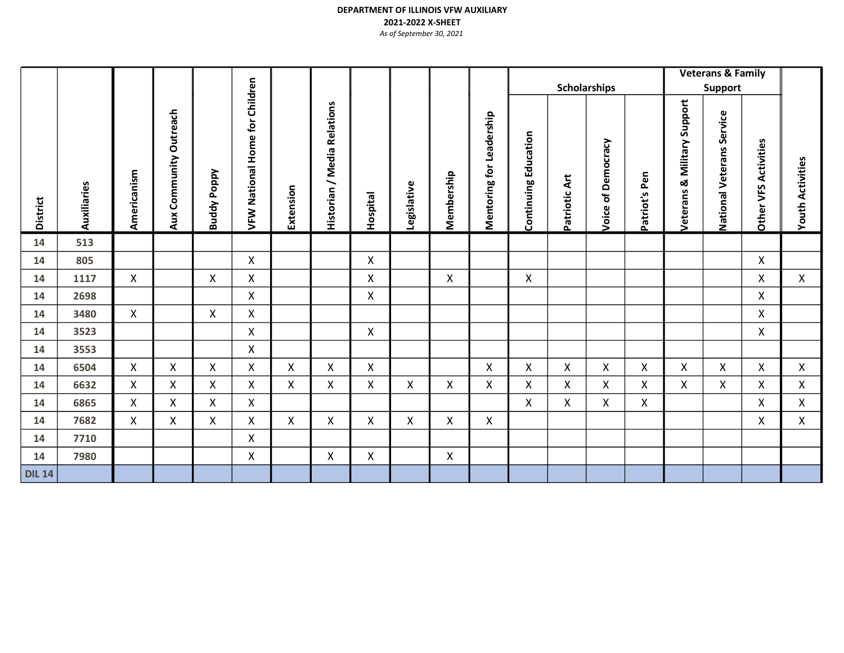## DEPARTMENT OF ILLINOIS VFW AUXILIARY 2021-2022 X-SHEET

As of September 30, 2021

|                 |             |              |                           |                |                                |              |                                                                    |                    |                    |            |                                 |                             |                    |                       |               |                                     | <b>Veterans &amp; Family</b>        |                      |                            |  |
|-----------------|-------------|--------------|---------------------------|----------------|--------------------------------|--------------|--------------------------------------------------------------------|--------------------|--------------------|------------|---------------------------------|-----------------------------|--------------------|-----------------------|---------------|-------------------------------------|-------------------------------------|----------------------|----------------------------|--|
|                 |             |              |                           |                |                                |              |                                                                    |                    |                    |            |                                 |                             |                    | <b>Scholarships</b>   |               |                                     | Support                             |                      |                            |  |
| <b>District</b> | Auxiliaries | Americanism  | Community Outreach<br>Aux | Poppy<br>Buddy | VFW National Home for Children | Extension    | <b>Relations</b><br>Media<br>$\overline{\phantom{0}}$<br>Historian | Hospital           | Legislative        | Membership | <b>Mentoring for Leadership</b> | <b>Continuing Education</b> | Patriotic Art      | of Democracy<br>Voice | Patriot's Pen | Support<br>Military<br>ઌ<br>eterans | Service<br><b>National Veterans</b> | Other VFS Activities | <b>Activities</b><br>Youth |  |
| 14              | 513         |              |                           |                |                                |              |                                                                    |                    |                    |            |                                 |                             |                    |                       |               |                                     |                                     |                      |                            |  |
| 14              | 805         |              |                           |                | $\mathsf{X}$                   |              |                                                                    | $\pmb{\mathsf{X}}$ |                    |            |                                 |                             |                    |                       |               |                                     |                                     | X                    |                            |  |
| 14              | 1117        | $\mathsf{X}$ |                           | X              | X                              |              |                                                                    | X                  |                    | X          |                                 | $\mathsf{X}$                |                    |                       |               |                                     |                                     | X                    | X                          |  |
| 14              | 2698        |              |                           |                | X                              |              |                                                                    | X                  |                    |            |                                 |                             |                    |                       |               |                                     |                                     | X                    |                            |  |
| 14              | 3480        | X            |                           | X              | $\mathsf{X}$                   |              |                                                                    |                    |                    |            |                                 |                             |                    |                       |               |                                     |                                     | $\mathsf{X}$         |                            |  |
| 14              | 3523        |              |                           |                | X                              |              |                                                                    | X                  |                    |            |                                 |                             |                    |                       |               |                                     |                                     | $\mathsf{X}$         |                            |  |
| 14              | 3553        |              |                           |                | $\mathsf{X}$                   |              |                                                                    |                    |                    |            |                                 |                             |                    |                       |               |                                     |                                     |                      |                            |  |
| 14              | 6504        | $\mathsf{X}$ | X                         | X              | $\mathsf{X}$                   | $\mathsf{X}$ | $\mathsf{X}$                                                       | $\mathsf{X}$       |                    |            | X                               | $\mathsf{X}$                | $\mathsf{X}$       | X                     | X             | X                                   | $\mathsf{X}$                        | $\mathsf{X}$         | $\mathsf{X}$               |  |
| 14              | 6632        | X            | X                         | X              | X                              | X            | X                                                                  | X                  | $\pmb{\mathsf{X}}$ | X          | Χ                               | X                           | X                  | X                     | X             | X                                   | X                                   | X                    | X                          |  |
| 14              | 6865        | X            | $\pmb{\mathsf{X}}$        | X              | $\mathsf{X}$                   |              |                                                                    |                    |                    |            |                                 | X                           | $\pmb{\mathsf{X}}$ | X                     | X             |                                     |                                     | X                    | X                          |  |
| 14              | 7682        | X            | X                         | X              | X                              | X            | X                                                                  | X                  | X                  | X          | Χ                               |                             |                    |                       |               |                                     |                                     | X                    | X                          |  |
| 14              | 7710        |              |                           |                | X                              |              |                                                                    |                    |                    |            |                                 |                             |                    |                       |               |                                     |                                     |                      |                            |  |
| 14              | 7980        |              |                           |                | X                              |              | $\mathsf{X}$                                                       | X                  |                    | X          |                                 |                             |                    |                       |               |                                     |                                     |                      |                            |  |
| <b>DIL 14</b>   |             |              |                           |                |                                |              |                                                                    |                    |                    |            |                                 |                             |                    |                       |               |                                     |                                     |                      |                            |  |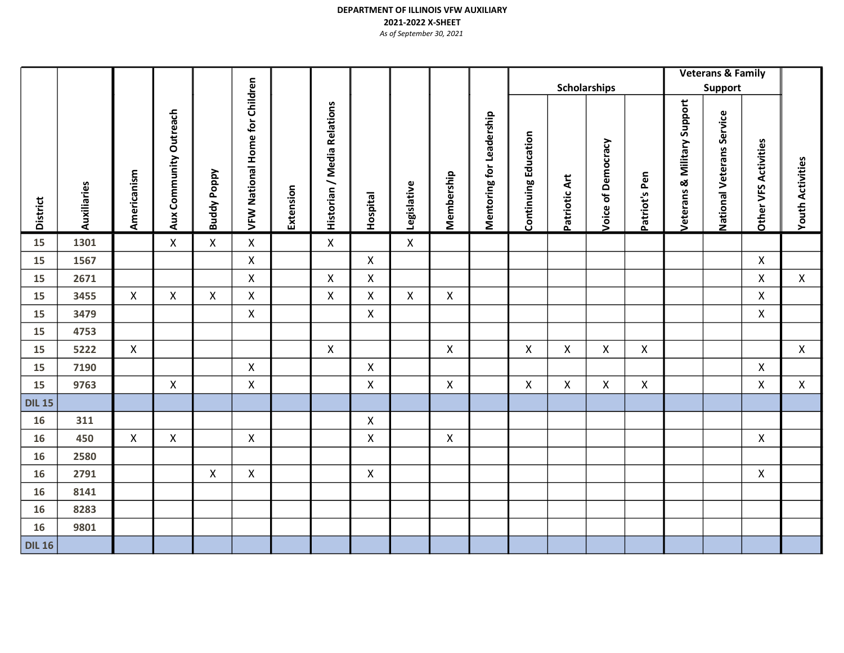|                 |             |                    |                        |                           |                                |           |                             |                    |                           |              |                          |                             |                |                     |                           |                                | <b>Veterans &amp; Family</b> |                      |                         |
|-----------------|-------------|--------------------|------------------------|---------------------------|--------------------------------|-----------|-----------------------------|--------------------|---------------------------|--------------|--------------------------|-----------------------------|----------------|---------------------|---------------------------|--------------------------------|------------------------------|----------------------|-------------------------|
|                 |             |                    |                        |                           |                                |           |                             |                    |                           |              |                          |                             |                | <b>Scholarships</b> |                           |                                | Support                      |                      |                         |
| <b>District</b> | Auxiliaries | Americanism        | Aux Community Outreach | <b>Buddy Poppy</b>        | VFW National Home for Children | Extension | Historian / Media Relations | Hospital           | Legislative               | Membership   | Mentoring for Leadership | <b>Continuing Education</b> | Patriotic Art  | Voice of Democracy  | Patriot's Pen             | Support<br>Veterans & Military | National Veterans Service    | Other VFS Activities | <b>Youth Activities</b> |
| 15              | 1301        |                    | $\mathsf{X}$           | $\pmb{\mathsf{X}}$        | $\pmb{\mathsf{X}}$             |           | X                           |                    | $\boldsymbol{\mathsf{X}}$ |              |                          |                             |                |                     |                           |                                |                              |                      |                         |
| 15              | 1567        |                    |                        |                           | $\mathsf{X}$                   |           |                             | $\mathsf{X}$       |                           |              |                          |                             |                |                     |                           |                                |                              | $\mathsf{X}$         |                         |
| 15              | 2671        |                    |                        |                           | $\pmb{\mathsf{X}}$             |           | $\mathsf{X}$                | $\mathsf{X}$       |                           |              |                          |                             |                |                     |                           |                                |                              | $\pmb{\mathsf{X}}$   | $\mathsf{X}$            |
| 15              | 3455        | $\mathsf{X}$       | X                      | $\boldsymbol{\mathsf{X}}$ | X                              |           | $\mathsf{X}$                | X                  | $\boldsymbol{\mathsf{X}}$ | $\mathsf{X}$ |                          |                             |                |                     |                           |                                |                              | $\mathsf{X}$         |                         |
| 15              | 3479        |                    |                        |                           | $\pmb{\mathsf{X}}$             |           |                             | $\mathsf X$        |                           |              |                          |                             |                |                     |                           |                                |                              | $\mathsf{X}$         |                         |
| 15              | 4753        |                    |                        |                           |                                |           |                             |                    |                           |              |                          |                             |                |                     |                           |                                |                              |                      |                         |
| 15              | 5222        | $\mathsf{X}$       |                        |                           |                                |           | $\mathsf{X}$                |                    |                           | $\mathsf{X}$ |                          | $\pmb{\times}$              | $\pmb{\times}$ | $\pmb{\mathsf{X}}$  | $\boldsymbol{\mathsf{X}}$ |                                |                              |                      | $\pmb{\times}$          |
| 15              | 7190        |                    |                        |                           | $\pmb{\mathsf{X}}$             |           |                             | X                  |                           |              |                          |                             |                |                     |                           |                                |                              | $\pmb{\mathsf{X}}$   |                         |
| 15              | 9763        |                    | $\mathsf X$            |                           | X                              |           |                             | $\mathsf X$        |                           | $\mathsf{X}$ |                          | X                           | X              | X                   | $\boldsymbol{\mathsf{X}}$ |                                |                              | $\mathsf{X}$         | $\mathsf{X}$            |
| <b>DIL 15</b>   |             |                    |                        |                           |                                |           |                             |                    |                           |              |                          |                             |                |                     |                           |                                |                              |                      |                         |
| 16              | 311         |                    |                        |                           |                                |           |                             | X                  |                           |              |                          |                             |                |                     |                           |                                |                              |                      |                         |
| 16              | 450         | $\pmb{\mathsf{X}}$ | X                      |                           | $\pmb{\mathsf{X}}$             |           |                             | $\pmb{\mathsf{X}}$ |                           | $\mathsf{X}$ |                          |                             |                |                     |                           |                                |                              | $\mathsf{X}$         |                         |
| 16              | 2580        |                    |                        |                           |                                |           |                             |                    |                           |              |                          |                             |                |                     |                           |                                |                              |                      |                         |
| 16              | 2791        |                    |                        | X                         | $\pmb{\times}$                 |           |                             | $\pmb{\mathsf{X}}$ |                           |              |                          |                             |                |                     |                           |                                |                              | $\mathsf{X}$         |                         |
| 16              | 8141        |                    |                        |                           |                                |           |                             |                    |                           |              |                          |                             |                |                     |                           |                                |                              |                      |                         |
| 16              | 8283        |                    |                        |                           |                                |           |                             |                    |                           |              |                          |                             |                |                     |                           |                                |                              |                      |                         |
| 16              | 9801        |                    |                        |                           |                                |           |                             |                    |                           |              |                          |                             |                |                     |                           |                                |                              |                      |                         |
| <b>DIL 16</b>   |             |                    |                        |                           |                                |           |                             |                    |                           |              |                          |                             |                |                     |                           |                                |                              |                      |                         |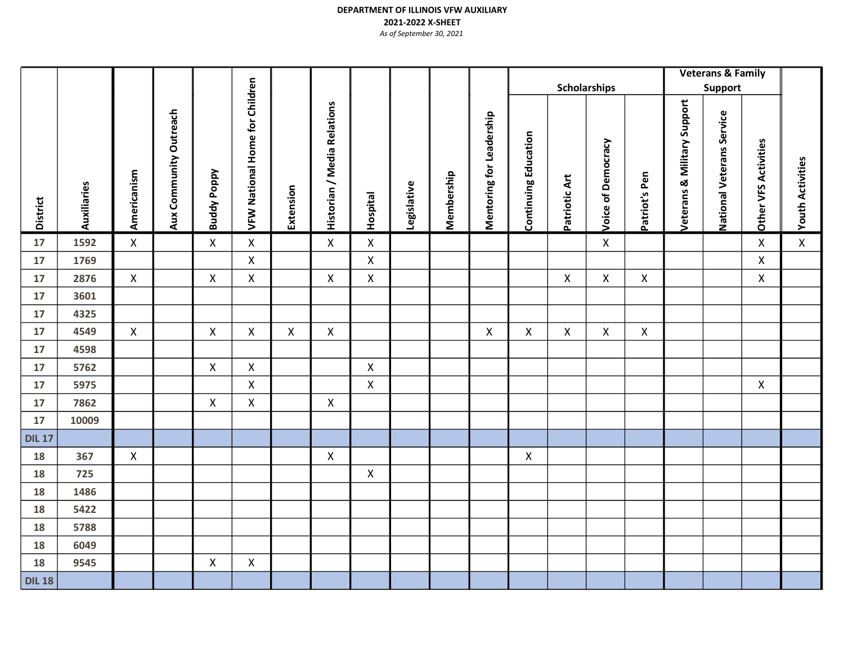|                     |             |              |                        |                    |                                       |             |                             |                    |             |            |                          |                             |                    |                           |                    |                                        | <b>Veterans &amp; Family</b> |                      |                         |  |
|---------------------|-------------|--------------|------------------------|--------------------|---------------------------------------|-------------|-----------------------------|--------------------|-------------|------------|--------------------------|-----------------------------|--------------------|---------------------------|--------------------|----------------------------------------|------------------------------|----------------------|-------------------------|--|
|                     |             |              |                        |                    |                                       |             |                             |                    |             |            |                          |                             |                    | <b>Scholarships</b>       |                    |                                        | Support                      |                      |                         |  |
| <b>District</b>     | Auxiliaries | Americanism  | Aux Community Outreach | <b>Buddy Poppy</b> | <b>VFW National Home for Children</b> | Extension   | Historian / Media Relations | Hospital           | Legislative | Membership | Mentoring for Leadership | <b>Continuing Education</b> | Patriotic Art      | <b>Voice of Democracy</b> | Patriot's Pen      | <b>Veterans &amp; Military Support</b> | National Veterans Service    | Other VFS Activities | <b>Youth Activities</b> |  |
| 17                  | 1592        | $\mathsf{X}$ |                        | $\pmb{\mathsf{X}}$ | $\pmb{\times}$                        |             | $\mathsf{X}$                | $\pmb{\mathsf{X}}$ |             |            |                          |                             |                    | X                         |                    |                                        |                              | $\mathsf{X}$         | $\pmb{\mathsf{X}}$      |  |
| 17                  | 1769        |              |                        |                    | $\pmb{\mathsf{X}}$                    |             |                             | $\pmb{\mathsf{X}}$ |             |            |                          |                             |                    |                           |                    |                                        |                              | $\mathsf{X}$         |                         |  |
| 17                  | 2876        | $\mathsf{X}$ |                        | X                  | X                                     |             | X                           | X                  |             |            |                          |                             | X                  | X                         | X                  |                                        |                              | $\mathsf{X}$         |                         |  |
| 17                  | 3601        |              |                        |                    |                                       |             |                             |                    |             |            |                          |                             |                    |                           |                    |                                        |                              |                      |                         |  |
| 17                  | 4325        |              |                        |                    |                                       |             |                             |                    |             |            |                          |                             |                    |                           |                    |                                        |                              |                      |                         |  |
| 17                  | 4549        | $\mathsf{X}$ |                        | $\pmb{\times}$     | $\pmb{\mathsf{X}}$                    | $\mathsf X$ | $\mathsf{X}$                |                    |             |            | $\mathsf{X}$             | $\mathsf{X}$                | $\pmb{\mathsf{X}}$ | $\mathsf{X}$              | $\pmb{\mathsf{X}}$ |                                        |                              |                      |                         |  |
| 17                  | 4598        |              |                        |                    |                                       |             |                             |                    |             |            |                          |                             |                    |                           |                    |                                        |                              |                      |                         |  |
| 17                  | 5762        |              |                        | $\pmb{\mathsf{X}}$ | $\pmb{\mathsf{X}}$                    |             |                             | $\pmb{\mathsf{X}}$ |             |            |                          |                             |                    |                           |                    |                                        |                              |                      |                         |  |
| 17                  | 5975        |              |                        |                    | $\mathsf{X}$                          |             |                             | $\pmb{\mathsf{X}}$ |             |            |                          |                             |                    |                           |                    |                                        |                              | $\mathsf{X}$         |                         |  |
| 17                  | 7862        |              |                        | X                  | X                                     |             | $\mathsf X$                 |                    |             |            |                          |                             |                    |                           |                    |                                        |                              |                      |                         |  |
| 17                  | 10009       |              |                        |                    |                                       |             |                             |                    |             |            |                          |                             |                    |                           |                    |                                        |                              |                      |                         |  |
| <b>DIL 17</b><br>18 | 367         | $\mathsf{X}$ |                        |                    |                                       |             | X                           |                    |             |            |                          | $\boldsymbol{\mathsf{X}}$   |                    |                           |                    |                                        |                              |                      |                         |  |
| 18                  | 725         |              |                        |                    |                                       |             |                             | X                  |             |            |                          |                             |                    |                           |                    |                                        |                              |                      |                         |  |
| 18                  | 1486        |              |                        |                    |                                       |             |                             |                    |             |            |                          |                             |                    |                           |                    |                                        |                              |                      |                         |  |
| 18                  | 5422        |              |                        |                    |                                       |             |                             |                    |             |            |                          |                             |                    |                           |                    |                                        |                              |                      |                         |  |
| 18                  | 5788        |              |                        |                    |                                       |             |                             |                    |             |            |                          |                             |                    |                           |                    |                                        |                              |                      |                         |  |
| 18                  | 6049        |              |                        |                    |                                       |             |                             |                    |             |            |                          |                             |                    |                           |                    |                                        |                              |                      |                         |  |
| 18                  | 9545        |              |                        | X                  | $\pmb{\mathsf{X}}$                    |             |                             |                    |             |            |                          |                             |                    |                           |                    |                                        |                              |                      |                         |  |
| <b>DIL 18</b>       |             |              |                        |                    |                                       |             |                             |                    |             |            |                          |                             |                    |                           |                    |                                        |                              |                      |                         |  |
|                     |             |              |                        |                    |                                       |             |                             |                    |             |            |                          |                             |                    |                           |                    |                                        |                              |                      |                         |  |